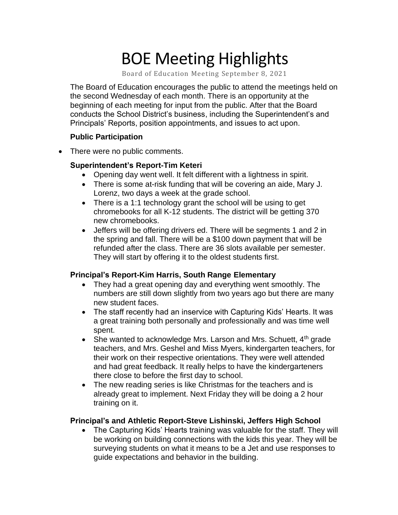# BOE Meeting Highlights

Board of Education Meeting September 8, 2021

 The Board of Education encourages the public to attend the meetings held on the second Wednesday of each month. There is an opportunity at the beginning of each meeting for input from the public. After that the Board conducts the School District's business, including the Superintendent's and Principals' Reports, position appointments, and issues to act upon.

### **Public Participation**

• There were no public comments.

## **Superintendent's Report-Tim Keteri**

- Opening day went well. It felt different with a lightness in spirit.
- There is some at-risk funding that will be covering an aide, Mary J. Lorenz, two days a week at the grade school.
- There is a 1:1 technology grant the school will be using to get chromebooks for all K-12 students. The district will be getting 370 new chromebooks.
- Jeffers will be offering drivers ed. There will be segments 1 and 2 in the spring and fall. There will be a \$100 down payment that will be refunded after the class. There are 36 slots available per semester. They will start by offering it to the oldest students first.

# **Principal's Report-Kim Harris, South Range Elementary**

- • They had a great opening day and everything went smoothly. The numbers are still down slightly from two years ago but there are many new student faces.
- • The staff recently had an inservice with Capturing Kids' Hearts. It was a great training both personally and professionally and was time well spent.
- She wanted to acknowledge Mrs. Larson and Mrs. Schuett,  $4<sup>th</sup>$  grade teachers, and Mrs. Geshel and Miss Myers, kindergarten teachers, for their work on their respective orientations. They were well attended and had great feedback. It really helps to have the kindergarteners there close to before the first day to school.
- • The new reading series is like Christmas for the teachers and is already great to implement. Next Friday they will be doing a 2 hour training on it.

### **Principal's and Athletic Report-Steve Lishinski, Jeffers High School**

 • The Capturing Kids' Hearts training was valuable for the staff. They will be working on building connections with the kids this year. They will be surveying students on what it means to be a Jet and use responses to guide expectations and behavior in the building.